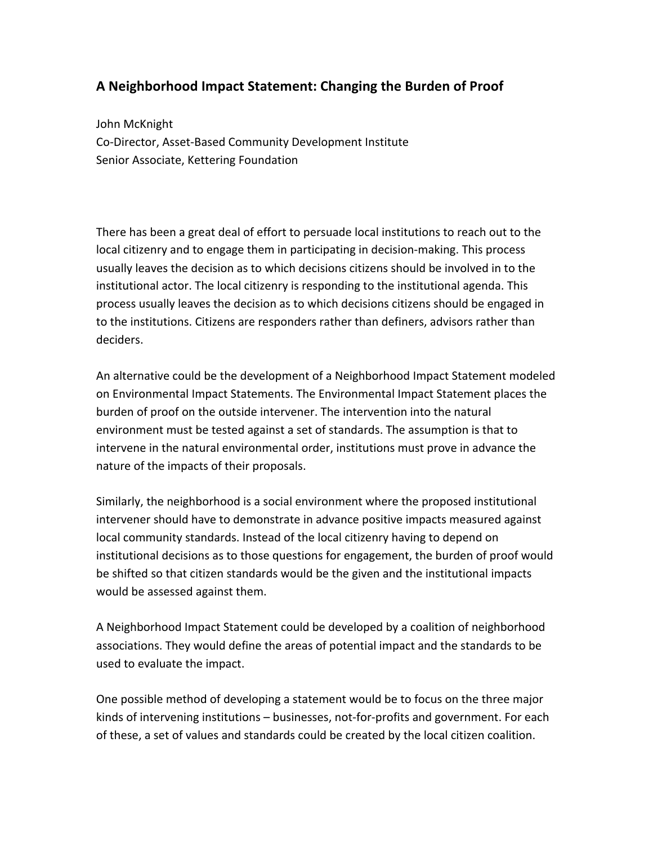## **A Neighborhood Impact Statement: Changing the Burden of Proof**

John McKnight Co-Director, Asset-Based Community Development Institute Senior Associate, Kettering Foundation

There has been a great deal of effort to persuade local institutions to reach out to the local citizenry and to engage them in participating in decision-making. This process usually leaves the decision as to which decisions citizens should be involved in to the institutional actor. The local citizenry is responding to the institutional agenda. This process usually leaves the decision as to which decisions citizens should be engaged in to the institutions. Citizens are responders rather than definers, advisors rather than deciders.

An alternative could be the development of a Neighborhood Impact Statement modeled on Environmental Impact Statements. The Environmental Impact Statement places the burden of proof on the outside intervener. The intervention into the natural environment must be tested against a set of standards. The assumption is that to intervene in the natural environmental order, institutions must prove in advance the nature of the impacts of their proposals.

Similarly, the neighborhood is a social environment where the proposed institutional intervener should have to demonstrate in advance positive impacts measured against local community standards. Instead of the local citizenry having to depend on institutional decisions as to those questions for engagement, the burden of proof would be shifted so that citizen standards would be the given and the institutional impacts would be assessed against them.

A Neighborhood Impact Statement could be developed by a coalition of neighborhood associations. They would define the areas of potential impact and the standards to be used to evaluate the impact.

One possible method of developing a statement would be to focus on the three major kinds of intervening institutions  $-$  businesses, not-for-profits and government. For each of these, a set of values and standards could be created by the local citizen coalition.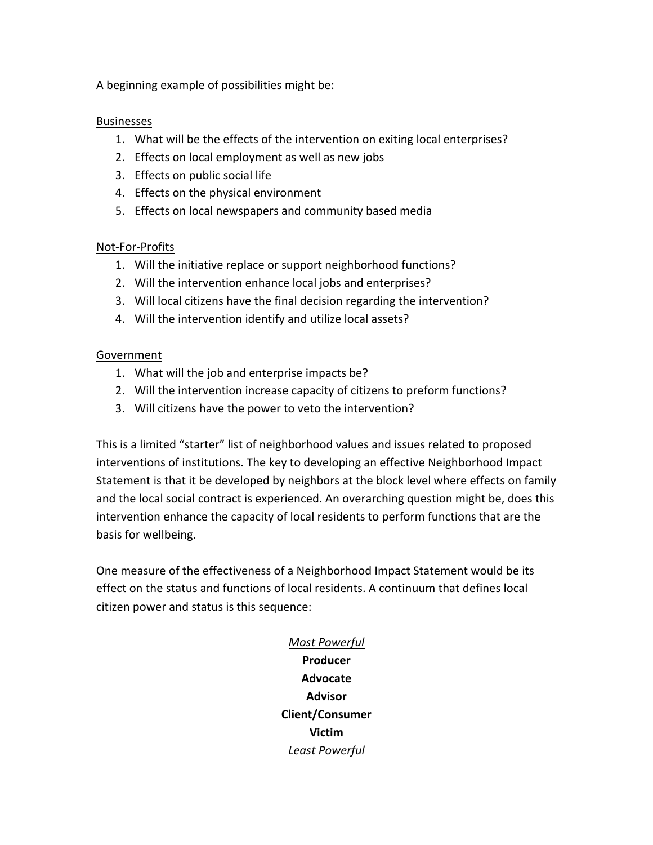A beginning example of possibilities might be:

## Businesses

- 1. What will be the effects of the intervention on exiting local enterprises?
- 2. Effects on local employment as well as new jobs
- 3. Effects on public social life
- 4. Effects on the physical environment
- 5. Effects on local newspapers and community based media

## Not-For-Profits

- 1. Will the initiative replace or support neighborhood functions?
- 2. Will the intervention enhance local jobs and enterprises?
- 3. Will local citizens have the final decision regarding the intervention?
- 4. Will the intervention identify and utilize local assets?

## Government

- 1. What will the job and enterprise impacts be?
- 2. Will the intervention increase capacity of citizens to preform functions?
- 3. Will citizens have the power to veto the intervention?

This is a limited "starter" list of neighborhood values and issues related to proposed interventions of institutions. The key to developing an effective Neighborhood Impact Statement is that it be developed by neighbors at the block level where effects on family and the local social contract is experienced. An overarching question might be, does this intervention enhance the capacity of local residents to perform functions that are the basis for wellbeing.

One measure of the effectiveness of a Neighborhood Impact Statement would be its effect on the status and functions of local residents. A continuum that defines local citizen power and status is this sequence:

> *Most Powerful* **Producer Advocate Advisor Client/Consumer Victim** *Least Powerful*